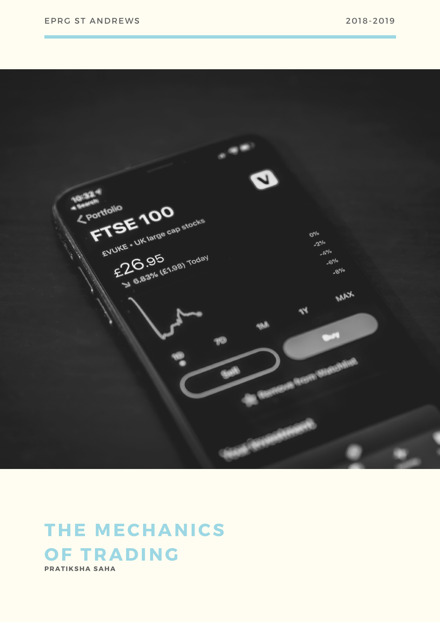

# **THE MECHANICS OF TRADING**

**PRATIKSHA SAHA**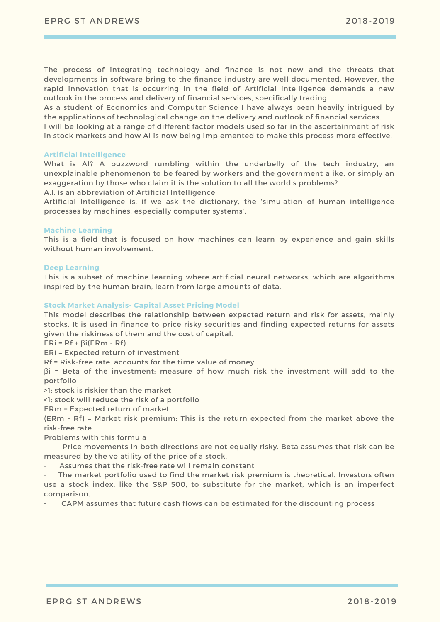The process of integrating technology and finance is not new and the threats that developments in software bring to the finance industry are well documented. However, the rapid innovation that is occurring in the field of Artificial intelligence demands a new outlook in the process and delivery of financial services, specifically trading.

As a student of Economics and Computer Science I have always been heavily intrigued by the applications of technological change on the delivery and outlook of financial services.

I will be looking at a range of different factor models used so far in the ascertainment of risk in stock markets and how AI is now being implemented to make this process more effective.

#### **Artificial Intelligence**

What is AI? A buzzword rumbling within the underbelly of the tech industry, an unexplainable phenomenon to be feared by workers and the government alike, or simply an exaggeration by those who claim it is the solution to all the world's problems?

A.I. is an abbreviation of Artificial Intelligence

Artificial Intelligence is, if we ask the dictionary, the 'simulation of human intelligence processes by machines, especially computer systems'.

### **Machine Learning**

This is a field that is focused on how machines can learn by experience and gain skills without human involvement.

### **Deep Learning**

This is a subset of machine learning where artificial neural networks, which are algorithms inspired by the human brain, learn from large amounts of data.

# **Stock Market Analysis- Capital Asset Pricing Model**

This model describes the relationship between expected return and risk for assets, mainly stocks. It is used in finance to price risky securities and finding expected returns for assets given the riskiness of them and the cost of capital.

ERi =  $Rf + \beta i$ (ERm - Rf)

ERi = Expected return of investment

Rf = Risk-free rate: accounts for the time value of money

βi = Beta of the investment: measure of how much risk the investment will add to the portfolio

>1: stock is riskier than the market

<1: stock will reduce the risk of a portfolio

ERm = Expected return of market

(ERm - Rf) = Market risk premium: This is the return expected from the market above the risk-free rate

Problems with this formula

Price movements in both directions are not equally risky. Beta assumes that risk can be measured by the volatility of the price of a stock.

Assumes that the risk-free rate will remain constant

The market portfolio used to find the market risk premium is theoretical. Investors often use a stock index, like the S&P 500, to substitute for the market, which is an imperfect comparison.

CAPM assumes that future cash flows can be estimated for the discounting process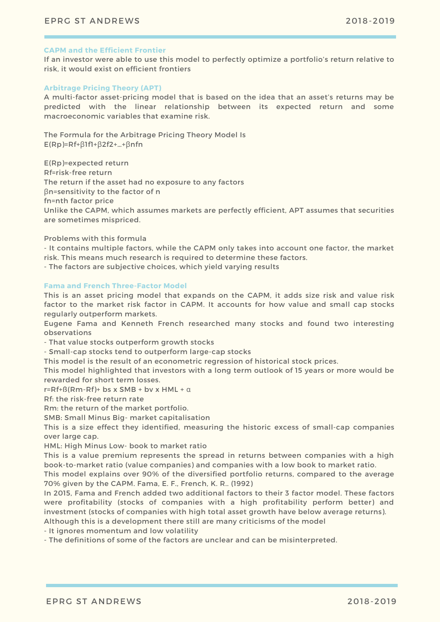# **CAPM and the Efficient Frontier**

If an investor were able to use this model to perfectly optimize a portfolio's return relative to risk, it would exist on efficient frontiers

# **Arbitrage Pricing Theory (APT)**

A multi-factor asset-pricing model that is based on the idea that an asset's returns may be predicted with the linear relationship between its expected return and some macroeconomic variables that examine risk.

The Formula for the Arbitrage Pricing Theory Model Is E(Rp)=Rf+β1f1+β2f2+…+βnfn

E(Rp)=expected return Rf=risk-free return The return if the asset had no exposure to any factors βn=sensitivity to the factor of n fn=nth factor price Unlike the CAPM, which assumes markets are perfectly efficient, APT assumes that securities are sometimes mispriced.

Problems with this formula

- It contains multiple factors, while the CAPM only takes into account one factor, the market risk. This means much research is required to determine these factors.

- The factors are subjective choices, which yield varying results

# **Fama and French Three-Factor Model**

This is an asset pricing model that expands on the CAPM, it adds size risk and value risk factor to the market risk factor in CAPM. It accounts for how value and small cap stocks regularly outperform markets.

Eugene Fama and Kenneth French researched many stocks and found two interesting observations

- That value stocks outperform growth stocks

- Small-cap stocks tend to outperform large-cap stocks

This model is the result of an econometric regression of historical stock prices.

This model highlighted that investors with a long term outlook of 15 years or more would be rewarded for short term losses.

 $r = Rf + \beta(Rm - Rf) + bs$  x SMB + bv x HML +  $\alpha$ 

Rf: the risk-free return rate

Rm: the return of the market portfolio.

SMB: Small Minus Big- market capitalisation

This is a size effect they identified, measuring the historic excess of small-cap companies over large cap.

HML: High Minus Low- book to market ratio

This is a value premium represents the spread in returns between companies with a high book-to-market ratio (value companies) and companies with a low book to market ratio.

This model explains over 90% of the diversified portfolio returns, compared to the average 70% given by the CAPM. Fama, E. F., French, K. R.. (1992)

In 2015, Fama and French added two additional factors to their 3 factor model. These factors were profitability (stocks of companies with a high profitability perform better) and investment (stocks of companies with high total asset growth have below average returns).

Although this is a development there still are many criticisms of the model

- It ignores momentum and low volatility

- The definitions of some of the factors are unclear and can be misinterpreted.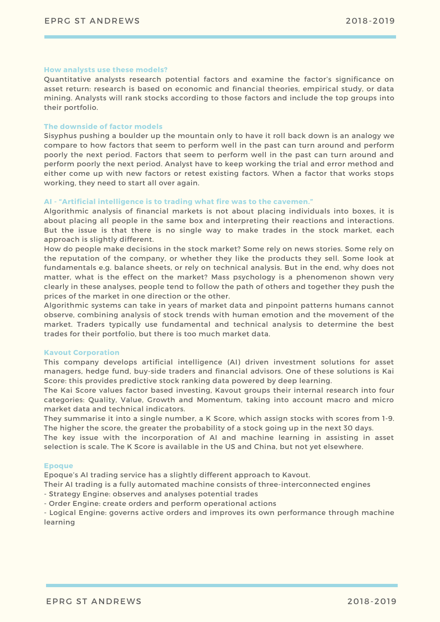#### **How analysts use these models?**

Quantitative analysts research potential factors and examine the factor's significance on asset return: research is based on economic and financial theories, empirical study, or data mining. Analysts will rank stocks according to those factors and include the top groups into their portfolio.

# **The downside of factor models**

Sisyphus pushing a boulder up the mountain only to have it roll back down is an analogy we compare to how factors that seem to perform well in the past can turn around and perform poorly the next period. Factors that seem to perform well in the past can turn around and perform poorly the next period. Analyst have to keep working the trial and error method and either come up with new factors or retest existing factors. When a factor that works stops working, they need to start all over again.

# **AI - "Artificial intelligence is to trading what fire was to the cavemen."**

Algorithmic analysis of financial markets is not about placing individuals into boxes, it is about placing all people in the same box and interpreting their reactions and interactions. But the issue is that there is no single way to make trades in the stock market, each approach is slightly different.

How do people make decisions in the stock market? Some rely on news stories. Some rely on the reputation of the company, or whether they like the products they sell. Some look at fundamentals e.g. balance sheets, or rely on technical analysis. But in the end, why does not matter, what is the effect on the market? Mass psychology is a phenomenon shown very clearly in these analyses, people tend to follow the path of others and together they push the prices of the market in one direction or the other.

Algorithmic systems can take in years of market data and pinpoint patterns humans cannot observe, combining analysis of stock trends with human emotion and the movement of the market. Traders typically use fundamental and technical analysis to determine the best trades for their portfolio, but there is too much market data.

# **Kavout Corporation**

This company develops artificial intelligence (AI) driven investment solutions for asset managers, hedge fund, buy-side traders and financial advisors. One of these solutions is Kai Score: this provides predictive stock ranking data powered by deep learning.

The Kai Score values factor based investing, Kavout groups their internal research into four categories: Quality, Value, Growth and Momentum, taking into account macro and micro market data and technical indicators.

They summarise it into a single number, a K Score, which assign stocks with scores from 1-9. The higher the score, the greater the probability of a stock going up in the next 30 days.

The key issue with the incorporation of AI and machine learning in assisting in asset selection is scale. The K Score is available in the US and China, but not yet elsewhere.

#### **Epoque**

Epoque's AI trading service has a slightly different approach to Kavout.

Their AI trading is a fully automated machine consists of three-interconnected engines

- Strategy Engine: observes and analyses potential trades

- Order Engine: create orders and perform operational actions

- Logical Engine: governs active orders and improves its own performance through machine learning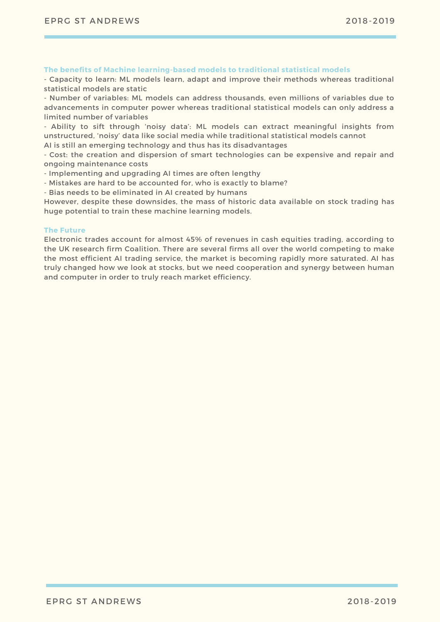# **The benefits of Machine learning-based models to traditional statistical models**

- Capacity to learn: ML models learn, adapt and improve their methods whereas traditional statistical models are static

- Number of variables: ML models can address thousands, even millions of variables due to advancements in computer power whereas traditional statistical models can only address a limited number of variables

- Ability to sift through 'noisy data': ML models can extract meaningful insights from unstructured, 'noisy' data like social media while traditional statistical models cannot

AI is still an emerging technology and thus has its disadvantages

- Cost: the creation and dispersion of smart technologies can be expensive and repair and ongoing maintenance costs

- Implementing and upgrading AI times are often lengthy

- Mistakes are hard to be accounted for, who is exactly to blame?

- Bias needs to be eliminated in AI created by humans

However, despite these downsides, the mass of historic data available on stock trading has huge potential to train these machine learning models.

# **The Future**

Electronic trades account for almost 45% of revenues in cash equities trading, according to the UK research firm Coalition. There are several firms all over the world competing to make the most efficient AI trading service, the market is becoming rapidly more saturated. AI has truly changed how we look at stocks, but we need cooperation and synergy between human and computer in order to truly reach market efficiency.